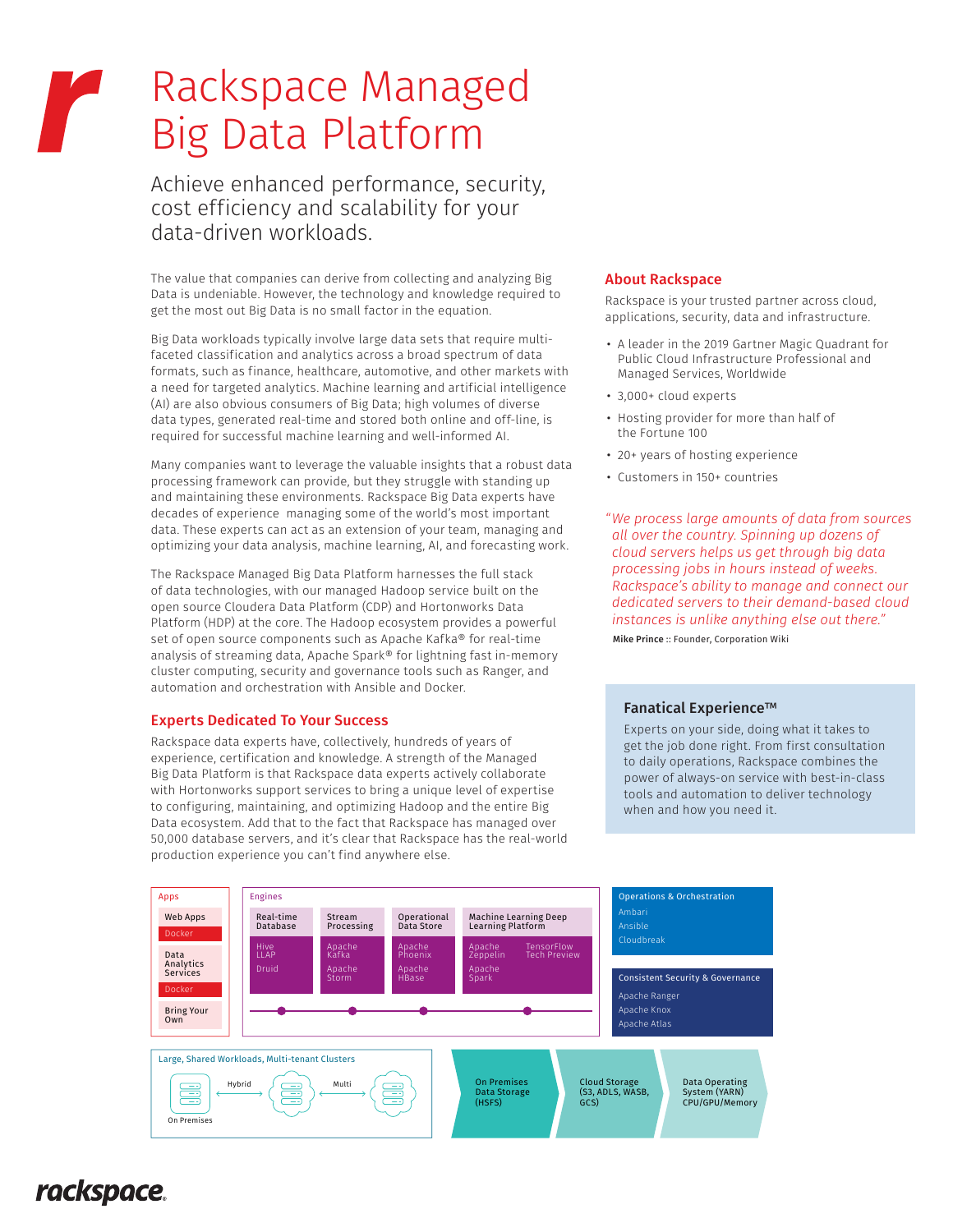# Rackspace Managed r Big Data Platform

Achieve enhanced performance, security, cost efficiency and scalability for your data-driven workloads.

The value that companies can derive from collecting and analyzing Big Data is undeniable. However, the technology and knowledge required to get the most out Big Data is no small factor in the equation.

Big Data workloads typically involve large data sets that require multifaceted classification and analytics across a broad spectrum of data formats, such as finance, healthcare, automotive, and other markets with a need for targeted analytics. Machine learning and artificial intelligence (AI) are also obvious consumers of Big Data; high volumes of diverse data types, generated real-time and stored both online and off-line, is required for successful machine learning and well-informed AI.

Many companies want to leverage the valuable insights that a robust data processing framework can provide, but they struggle with standing up and maintaining these environments. Rackspace Big Data experts have decades of experience managing some of the world's most important data. These experts can act as an extension of your team, managing and optimizing your data analysis, machine learning, AI, and forecasting work.

The Rackspace Managed Big Data Platform harnesses the full stack of data technologies, with our managed Hadoop service built on the open source Cloudera Data Platform (CDP) and Hortonworks Data Platform (HDP) at the core. The Hadoop ecosystem provides a powerful set of open source components such as Apache Kafka® for real-time analysis of streaming data, Apache Spark® for lightning fast in-memory cluster computing, security and governance tools such as Ranger, and automation and orchestration with Ansible and Docker.

### Experts Dedicated To Your Success

Rackspace data experts have, collectively, hundreds of years of experience, certification and knowledge. A strength of the Managed Big Data Platform is that Rackspace data experts actively collaborate with Hortonworks support services to bring a unique level of expertise to configuring, maintaining, and optimizing Hadoop and the entire Big Data ecosystem. Add that to the fact that Rackspace has managed over 50,000 database servers, and it's clear that Rackspace has the real-world production experience you can't find anywhere else.

#### About Rackspace

Rackspace is your trusted partner across cloud, applications, security, data and infrastructure.

- A leader in the 2019 Gartner Magic Quadrant for Public Cloud Infrastructure Professional and Managed Services, Worldwide
- 3,000+ cloud experts
- Hosting provider for more than half of the Fortune 100
- 20+ years of hosting experience
- Customers in 150+ countries

*"We process large amounts of data from sources all over the country. Spinning up dozens of cloud servers helps us get through big data processing jobs in hours instead of weeks. Rackspace's ability to manage and connect our dedicated servers to their demand-based cloud instances is unlike anything else out there."*

Mike Prince :: Founder, Corporation Wiki

#### Fanatical Experience™

Experts on your side, doing what it takes to get the job done right. From first consultation to daily operations, Rackspace combines the power of always-on service with best-in-class tools and automation to deliver technology when and how you need it.



# *rackspace*